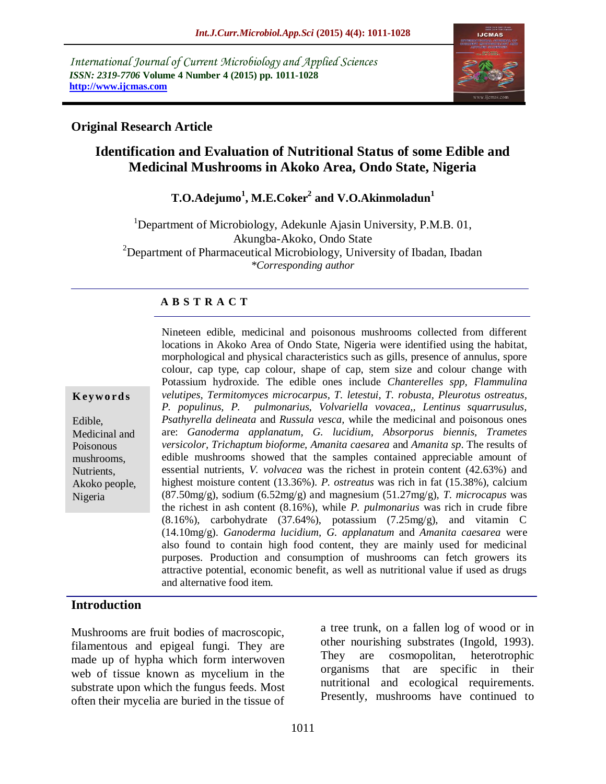*International Journal of Current Microbiology and Applied Sciences ISSN: 2319-7706* **Volume 4 Number 4 (2015) pp. 1011-1028 http://www.ijcmas.com** 



## **Original Research Article**

# **Identification and Evaluation of Nutritional Status of some Edible and Medicinal Mushrooms in Akoko Area, Ondo State, Nigeria**

# **T.O.Adejumo<sup>1</sup> , M.E.Coker<sup>2</sup> and V.O.Akinmoladun<sup>1</sup>**

<sup>1</sup>Department of Microbiology, Adekunle Ajasin University, P.M.B. 01, Akungba-Akoko, Ondo State <sup>2</sup>Department of Pharmaceutical Microbiology, University of Ibadan, Ibadan *\*Corresponding author*

## **A B S T R A C T**

**K ey w o rd s**

Edible, Medicinal and Poisonous mushrooms, Nutrients, Akoko people, Nigeria

Nineteen edible, medicinal and poisonous mushrooms collected from different locations in Akoko Area of Ondo State, Nigeria were identified using the habitat, morphological and physical characteristics such as gills, presence of annulus, spore colour, cap type, cap colour, shape of cap, stem size and colour change with Potassium hydroxide. The edible ones include *Chanterelles spp, Flammulina velutipes, Termitomyces microcarpus, T. letestui, T. robusta, Pleurotus ostreatus, P. populinus, P. pulmonarius, Volvariella vovacea,, Lentinus squarrusulus, Psathyrella delineata* and *Russula vesca,* while the medicinal and poisonous ones are: *Ganoderma applanatum, G. lucidium, Absorporus biennis, Trametes versicolor, Trichaptum bioforme, Amanita caesarea* and *Amanita sp*. The results of edible mushrooms showed that the samples contained appreciable amount of essential nutrients, *V. volvacea* was the richest in protein content (42.63%) and highest moisture content (13.36%). *P. ostreatus* was rich in fat (15.38%), calcium (87.50mg/g), sodium (6.52mg/g) and magnesium (51.27mg/g), *T. microcapus* was the richest in ash content (8.16%), while *P. pulmonarius* was rich in crude fibre  $(8.16\%)$ , carbohydrate  $(37.64\%)$ , potassium  $(7.25mg/g)$ , and vitamin C (14.10mg/g). *Ganoderma lucidium, G. applanatum* and *Amanita caesarea* were also found to contain high food content, they are mainly used for medicinal purposes. Production and consumption of mushrooms can fetch growers its attractive potential, economic benefit, as well as nutritional value if used as drugs and alternative food item.

### **Introduction**

Mushrooms are fruit bodies of macroscopic, filamentous and epigeal fungi. They are made up of hypha which form interwoven web of tissue known as mycelium in the substrate upon which the fungus feeds. Most often their mycelia are buried in the tissue of a tree trunk, on a fallen log of wood or in other nourishing substrates (Ingold, 1993). They are cosmopolitan, heterotrophic organisms that are specific in their nutritional and ecological requirements. Presently, mushrooms have continued to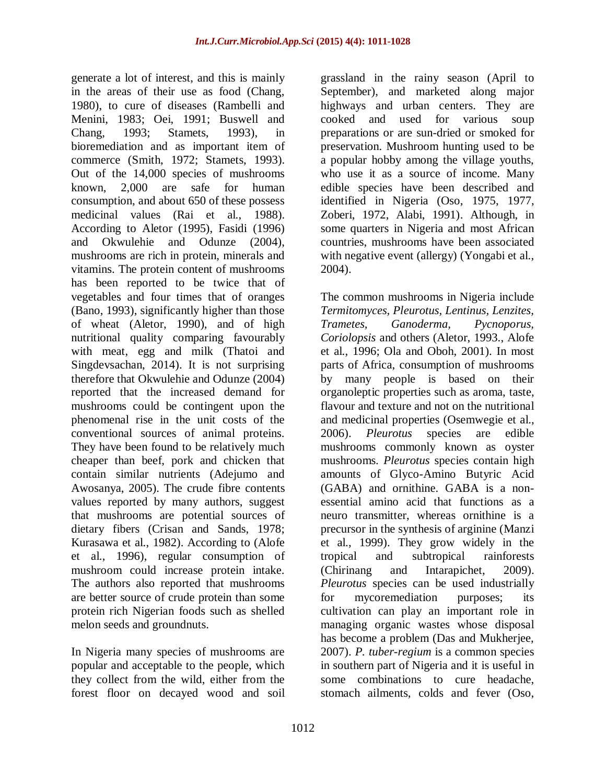generate a lot of interest, and this is mainly in the areas of their use as food (Chang, 1980), to cure of diseases (Rambelli and Menini, 1983; Oei, 1991; Buswell and Chang, 1993; Stamets, 1993), in bioremediation and as important item of commerce (Smith, 1972; Stamets, 1993). Out of the 14,000 species of mushrooms known, 2,000 are safe for human consumption, and about 650 of these possess medicinal values (Rai et al., 1988). According to Aletor (1995), Fasidi (1996) and Okwulehie and Odunze (2004), mushrooms are rich in protein, minerals and vitamins. The protein content of mushrooms has been reported to be twice that of vegetables and four times that of oranges (Bano, 1993), significantly higher than those of wheat (Aletor, 1990), and of high nutritional quality comparing favourably with meat, egg and milk (Thatoi and Singdevsachan, 2014). It is not surprising therefore that Okwulehie and Odunze (2004) reported that the increased demand for mushrooms could be contingent upon the phenomenal rise in the unit costs of the conventional sources of animal proteins. They have been found to be relatively much cheaper than beef, pork and chicken that contain similar nutrients (Adejumo and Awosanya, 2005). The crude fibre contents values reported by many authors, suggest that mushrooms are potential sources of dietary fibers (Crisan and Sands, 1978; Kurasawa et al., 1982). According to (Alofe et al., 1996), regular consumption of mushroom could increase protein intake. The authors also reported that mushrooms are better source of crude protein than some protein rich Nigerian foods such as shelled melon seeds and groundnuts.

In Nigeria many species of mushrooms are popular and acceptable to the people, which they collect from the wild, either from the forest floor on decayed wood and soil

grassland in the rainy season (April to September), and marketed along major highways and urban centers. They are cooked and used for various soup preparations or are sun-dried or smoked for preservation. Mushroom hunting used to be a popular hobby among the village youths, who use it as a source of income. Many edible species have been described and identified in Nigeria (Oso, 1975, 1977, Zoberi, 1972, Alabi, 1991). Although, in some quarters in Nigeria and most African countries, mushrooms have been associated with negative event (allergy) (Yongabi et al., 2004).

The common mushrooms in Nigeria include *Termitomyces, Pleurotus, Lentinus, Lenzites, Trametes, Ganoderma, Pycnoporus, Coriolopsis* and others (Aletor, 1993., Alofe et al., 1996; Ola and Oboh, 2001). In most parts of Africa, consumption of mushrooms by many people is based on their organoleptic properties such as aroma, taste, flavour and texture and not on the nutritional and medicinal properties (Osemwegie et al., 2006). *Pleurotus* species are edible mushrooms commonly known as oyster mushrooms. *Pleurotus* species contain high amounts of Glyco-Amino Butyric Acid (GABA) and ornithine. GABA is a nonessential amino acid that functions as a neuro transmitter, whereas ornithine is a precursor in the synthesis of arginine (Manzi et al., 1999). They grow widely in the tropical and subtropical rainforests (Chirinang and Intarapichet, 2009). *Pleurotus* species can be used industrially for mycoremediation purposes; its cultivation can play an important role in managing organic wastes whose disposal has become a problem (Das and Mukherjee, 2007). *P. tuber-regium* is a common species in southern part of Nigeria and it is useful in some combinations to cure headache, stomach ailments, colds and fever (Oso,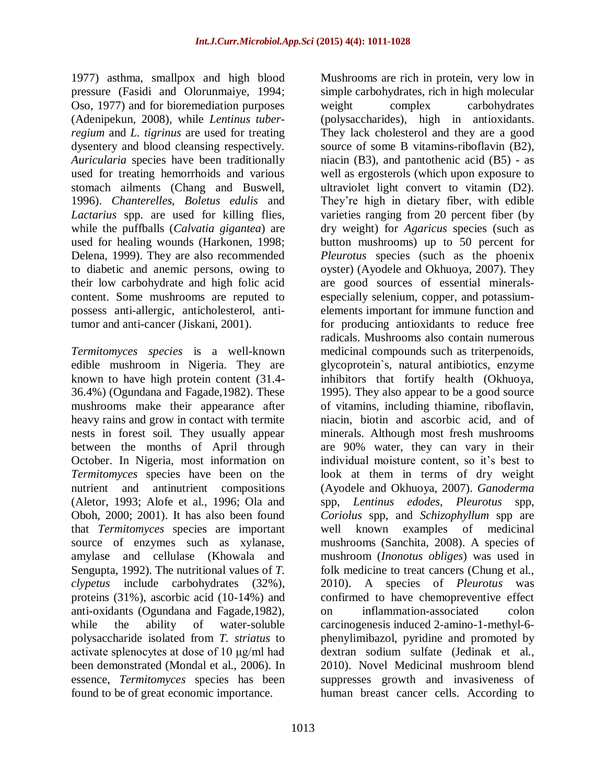1977) asthma, smallpox and high blood pressure (Fasidi and Olorunmaiye, 1994; Oso, 1977) and for bioremediation purposes (Adenipekun, 2008), while *Lentinus tuberregium* and *L. tigrinus* are used for treating dysentery and blood cleansing respectively. *Auricularia* species have been traditionally used for treating hemorrhoids and various stomach ailments (Chang and Buswell, 1996). *Chanterelles*, *Boletus edulis* and *Lactarius* spp. are used for killing flies, while the puffballs (*Calvatia gigantea*) are used for healing wounds (Harkonen, 1998; Delena, 1999). They are also recommended to diabetic and anemic persons, owing to their low carbohydrate and high folic acid content. Some mushrooms are reputed to possess anti-allergic, anticholesterol, antitumor and anti-cancer (Jiskani, 2001).

*Termitomyces species* is a well-known edible mushroom in Nigeria. They are known to have high protein content (31.4- 36.4%) (Ogundana and Fagade,1982). These mushrooms make their appearance after heavy rains and grow in contact with termite nests in forest soil. They usually appear between the months of April through October. In Nigeria, most information on *Termitomyces* species have been on the nutrient and antinutrient compositions (Aletor, 1993; Alofe et al., 1996; Ola and Oboh, 2000; 2001). It has also been found that *Termitomyces* species are important source of enzymes such as xylanase, amylase and cellulase (Khowala and Sengupta, 1992). The nutritional values of *T. clypetus* include carbohydrates (32%), proteins (31%), ascorbic acid (10-14%) and anti-oxidants (Ogundana and Fagade,1982), while the ability of water-soluble polysaccharide isolated from *T. striatus* to activate splenocytes at dose of 10 μg/ml had been demonstrated (Mondal et al., 2006). In essence, *Termitomyces* species has been found to be of great economic importance.

Mushrooms are rich in protein, very low in simple carbohydrates, rich in high molecular weight complex carbohydrates (polysaccharides), high in antioxidants. They lack cholesterol and they are a good source of some B vitamins-riboflavin (B2), niacin (B3), and pantothenic acid (B5) - as well as ergosterols (which upon exposure to ultraviolet light convert to vitamin (D2). They're high in dietary fiber, with edible varieties ranging from 20 percent fiber (by dry weight) for *Agaricus* species (such as button mushrooms) up to 50 percent for *Pleurotus* species (such as the phoenix oyster) (Ayodele and Okhuoya, 2007). They are good sources of essential mineralsespecially selenium, copper, and potassiumelements important for immune function and for producing antioxidants to reduce free radicals. Mushrooms also contain numerous medicinal compounds such as triterpenoids, glycoprotein`s, natural antibiotics, enzyme inhibitors that fortify health (Okhuoya, 1995). They also appear to be a good source of vitamins, including thiamine, riboflavin, niacin, biotin and ascorbic acid, and of minerals. Although most fresh mushrooms are 90% water, they can vary in their individual moisture content, so it's best to look at them in terms of dry weight (Ayodele and Okhuoya, 2007). *Ganoderma* spp, *Lentinus edodes*, *Pleurotus* spp, *Coriolus* spp, and *Schizophyllum* spp are well known examples of medicinal mushrooms (Sanchita, 2008). A species of mushroom (*Inonotus obliges*) was used in folk medicine to treat cancers (Chung et al., 2010). A species of *Pleurotus* was confirmed to have chemopreventive effect on inflammation-associated colon carcinogenesis induced 2-amino-1-methyl-6 phenylimibazol, pyridine and promoted by dextran sodium sulfate (Jedinak et al*.*, 2010). Novel Medicinal mushroom blend suppresses growth and invasiveness of human breast cancer cells. According to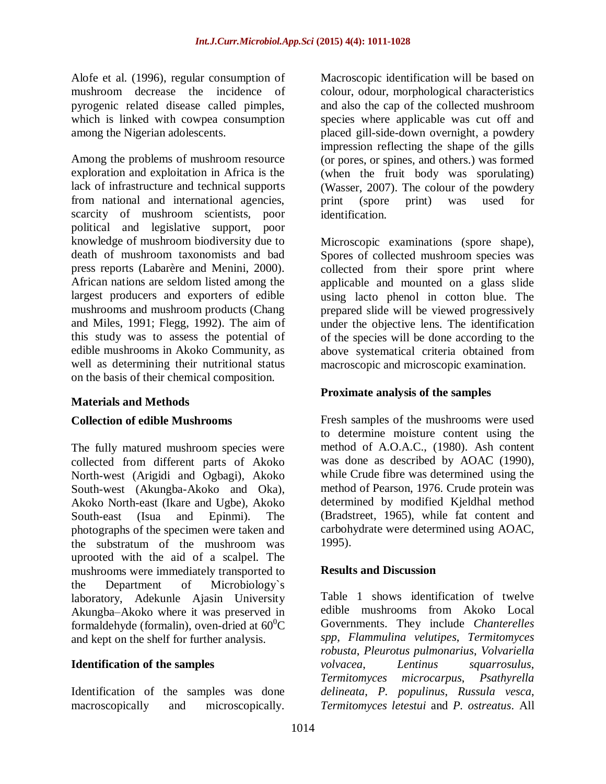Alofe et al. (1996), regular consumption of mushroom decrease the incidence of pyrogenic related disease called pimples, which is linked with cowpea consumption among the Nigerian adolescents.

Among the problems of mushroom resource exploration and exploitation in Africa is the lack of infrastructure and technical supports from national and international agencies, scarcity of mushroom scientists, poor political and legislative support, poor knowledge of mushroom biodiversity due to death of mushroom taxonomists and bad press reports (Labarère and Menini, 2000). African nations are seldom listed among the largest producers and exporters of edible mushrooms and mushroom products (Chang and Miles, 1991; Flegg, 1992). The aim of this study was to assess the potential of edible mushrooms in Akoko Community, as well as determining their nutritional status on the basis of their chemical composition.

### **Materials and Methods**

### **Collection of edible Mushrooms**

The fully matured mushroom species were collected from different parts of Akoko North-west (Arigidi and Ogbagi), Akoko South-west (Akungba-Akoko and Oka), Akoko North-east (Ikare and Ugbe), Akoko South-east (Isua and Epinmi). The photographs of the specimen were taken and the substratum of the mushroom was uprooted with the aid of a scalpel. The mushrooms were immediately transported to the Department of Microbiology`s laboratory, Adekunle Ajasin University Akungba–Akoko where it was preserved in formaldehyde (formalin), oven-dried at  $60^{\circ}$ C and kept on the shelf for further analysis.

### **Identification of the samples**

Identification of the samples was done macroscopically and microscopically.

Macroscopic identification will be based on colour, odour, morphological characteristics and also the cap of the collected mushroom species where applicable was cut off and placed gill-side-down overnight, a powdery impression reflecting the shape of the gills (or pores, or spines, and others.) was formed (when the fruit body was sporulating) (Wasser, 2007). The colour of the powdery print [\(spore print\)](http://en.wikipedia.org/wiki/Spore_print) was used for identification.

Microscopic examinations (spore shape), Spores of collected mushroom species was collected from their spore print where applicable and mounted on a glass slide using lacto phenol in cotton blue. The prepared slide will be viewed progressively under the objective lens. The identification of the species will be done according to the above systematical criteria obtained from macroscopic and microscopic examination.

### **Proximate analysis of the samples**

Fresh samples of the mushrooms were used to determine moisture content using the method of A.O.A.C., (1980). Ash content was done as described by AOAC (1990), while Crude fibre was determined using the method of Pearson, 1976. Crude protein was determined by modified Kjeldhal method (Bradstreet, 1965), while fat content and carbohydrate were determined using AOAC, 1995).

### **Results and Discussion**

Table 1 shows identification of twelve edible mushrooms from Akoko Local Governments. They include *Chanterelles spp*, *Flammulina velutipes*, *Termitomyces robusta*, *Pleurotus pulmonarius*, *Volvariella volvacea*, *Lentinus squarrosulus*, *Termitomyces microcarpus*, *Psathyrella delineata*, *P. populinus*, *Russula vesca*, *Termitomyces letestui* and *P. ostreatus*. All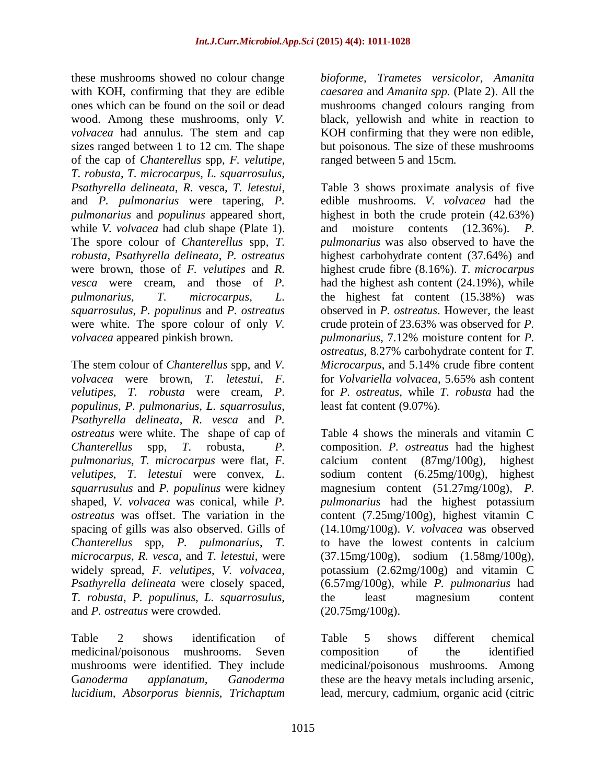these mushrooms showed no colour change with KOH, confirming that they are edible ones which can be found on the soil or dead wood. Among these mushrooms, only *V. volvacea* had annulus. The stem and cap sizes ranged between 1 to 12 cm. The shape of the cap of *Chanterellus* spp, *F. velutipe*, *T. robusta*, *T. microcarpus*, *L. squarrosulus*, *Psathyrella delineata*, *R.* vesca, *T. letestui*, and *P. pulmonarius* were tapering, *P. pulmonarius* and *populinus* appeared short, while *V. volvacea* had club shape (Plate 1). The spore colour of *Chanterellus* spp, *T. robusta*, *Psathyrella delineata*, *P. ostreatus* were brown, those of *F. velutipes* and *R. vesca* were cream, and those of *P. pulmonarius*, *T. microcarpus*, *L. squarrosulus*, *P. populinus* and *P. ostreatus* were white. The spore colour of only *V. volvacea* appeared pinkish brown.

The stem colour of *Chanterellus* spp, and *V. volvacea* were brown, *T. letestui*, *F. velutipes*, *T. robusta* were cream, *P*. *populinus*, *P. pulmonarius*, *L. squarrosulus*, *Psathyrella delineata*, *R. vesca* and *P. ostreatus* were white. The shape of cap of *Chanterellus* spp, *T.* robusta, *P. pulmonarius*, *T. microcarpus* were flat, *F. velutipes*, *T. letestui* were convex, *L. squarrusulus* and *P. populinus* were kidney shaped, *V. volvacea* was conical, while *P. ostreatus* was offset. The variation in the spacing of gills was also observed. Gills of *Chanterellus* spp, *P. pulmonarius*, *T. microcarpus*, *R. vesca*, and *T. letestui*, were widely spread, *F. velutipes*, *V. volvacea*, *Psathyrella delineata* were closely spaced, *T. robusta*, *P. populinus*, *L. squarrosulus*, and *P. ostreatus* were crowded.

Table 2 shows identification of medicinal/poisonous mushrooms. Seven mushrooms were identified. They include G*anoderma applanatum, Ganoderma lucidium, Absorporus biennis, Trichaptum* 

*bioforme, Trametes versicolor, Amanita caesarea* and *Amanita spp.* (Plate 2). All the mushrooms changed colours ranging from black, yellowish and white in reaction to KOH confirming that they were non edible, but poisonous. The size of these mushrooms ranged between 5 and 15cm.

Table 3 shows proximate analysis of five edible mushrooms. *V. volvacea* had the highest in both the crude protein (42.63%) and moisture contents (12.36%). *P. pulmonarius* was also observed to have the highest carbohydrate content (37.64%) and highest crude fibre (8.16%). *T. microcarpus* had the highest ash content (24.19%), while the highest fat content (15.38%) was observed in *P. ostreatus*. However, the least crude protein of 23.63% was observed for *P. pulmonarius*, 7.12% moisture content for *P. ostreatus*, 8.27% carbohydrate content for *T. Microcarpus*, and 5.14% crude fibre content for *Volvariella volvacea,* 5.65% ash content for *P. ostreatus,* while *T. robusta* had the least fat content (9.07%).

Table 4 shows the minerals and vitamin C composition. *P. ostreatus* had the highest calcium content (87mg/100g), highest sodium content (6.25mg/100g), highest magnesium content (51.27mg/100g), *P. pulmonarius* had the highest potassium content (7.25mg/100g), highest vitamin C (14.10mg/100g). *V. volvacea* was observed to have the lowest contents in calcium (37.15mg/100g), sodium (1.58mg/100g), potassium (2.62mg/100g) and vitamin C (6.57mg/100g), while *P. pulmonarius* had the least magnesium content (20.75mg/100g).

Table 5 shows different chemical composition of the identified medicinal/poisonous mushrooms. Among these are the heavy metals including arsenic, lead, mercury, cadmium, organic acid (citric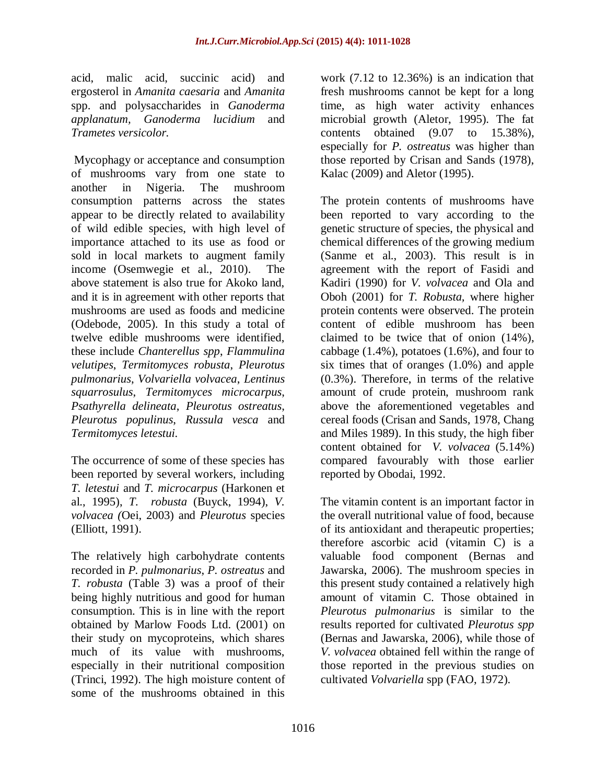acid, malic acid, succinic acid) and ergosterol in *Amanita caesaria* and *Amanita* spp. and polysaccharides in *Ganoderma applanatum, Ganoderma lucidium* and *Trametes versicolor.*

Mycophagy or acceptance and consumption of mushrooms vary from one state to another in Nigeria. The mushroom consumption patterns across the states appear to be directly related to availability of wild edible species, with high level of importance attached to its use as food or sold in local markets to augment family income (Osemwegie et al., 2010). The above statement is also true for Akoko land, and it is in agreement with other reports that mushrooms are used as foods and medicine (Odebode, 2005). In this study a total of twelve edible mushrooms were identified, these include *Chanterellus spp*, *Flammulina velutipes*, *Termitomyces robusta*, *Pleurotus pulmonarius*, *Volvariella volvacea*, *Lentinus squarrosulus*, *Termitomyces microcarpus*, *Psathyrella delineata*, *Pleurotus ostreatus*, *Pleurotus populinus*, *Russula vesca* and *Termitomyces letestui.*

The occurrence of some of these species has been reported by several workers, including *T. letestui* and *T. microcarpus* (Harkonen et al., 1995), *T. robusta* (Buyck, 1994), *V. volvacea (*Oei, 2003) and *Pleurotus* species (Elliott, 1991).

The relatively high carbohydrate contents recorded in *P. pulmonarius*, *P. ostreatus* and *T. robusta* (Table 3) was a proof of their being highly nutritious and good for human consumption. This is in line with the report obtained by Marlow Foods Ltd. (2001) on their study on mycoproteins, which shares much of its value with mushrooms, especially in their nutritional composition (Trinci, 1992). The high moisture content of some of the mushrooms obtained in this

work (7.12 to 12.36%) is an indication that fresh mushrooms cannot be kept for a long time, as high water activity enhances microbial growth (Aletor, 1995). The fat contents obtained (9.07 to 15.38%), especially for *P. ostreatus* was higher than those reported by Crisan and Sands (1978), Kalac (2009) and Aletor (1995).

The protein contents of mushrooms have been reported to vary according to the genetic structure of species, the physical and chemical differences of the growing medium (Sanme et al., 2003). This result is in agreement with the report of Fasidi and Kadiri (1990) for *V. volvacea* and Ola and Oboh (2001) for *T. Robusta,* where higher protein contents were observed. The protein content of edible mushroom has been claimed to be twice that of onion (14%), cabbage (1.4%), potatoes (1.6%), and four to six times that of oranges (1.0%) and apple (0.3%). Therefore, in terms of the relative amount of crude protein, mushroom rank above the aforementioned vegetables and cereal foods (Crisan and Sands*,* 1978, Chang and Miles 1989). In this study, the high fiber content obtained for *V. volvacea* (5.14%) compared favourably with those earlier reported by Obodai, 1992.

The vitamin content is an important factor in the overall nutritional value of food, because of its antioxidant and therapeutic properties; therefore ascorbic acid (vitamin C) is a valuable food component (Bernas and Jawarska, 2006). The mushroom species in this present study contained a relatively high amount of vitamin C. Those obtained in *Pleurotus pulmonarius* is similar to the results reported for cultivated *Pleurotus spp* (Bernas and Jawarska, 2006), while those of *V. volvacea* obtained fell within the range of those reported in the previous studies on cultivated *Volvariella* spp (FAO, 1972)*.*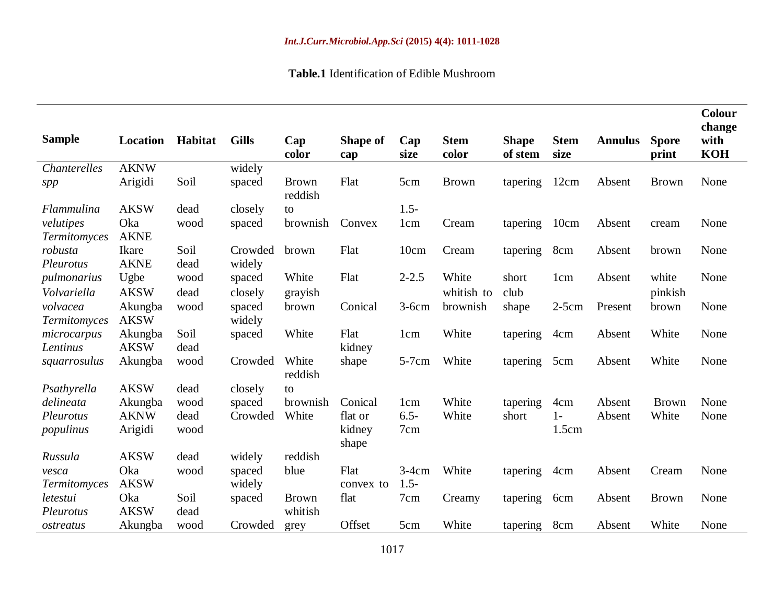# **Table.1** Identification of Edible Mushroom

| <b>Sample</b>             | <b>Location</b>        | Habitat      | <b>Gills</b>     | Cap<br>color            | <b>Shape of</b><br>cap | Cap<br>size     | <b>Stem</b><br>color | <b>Shape</b><br>of stem | <b>Stem</b><br>size | <b>Annulus</b> | <b>Spore</b><br>print | <b>Colour</b><br>change<br>with<br><b>KOH</b> |
|---------------------------|------------------------|--------------|------------------|-------------------------|------------------------|-----------------|----------------------|-------------------------|---------------------|----------------|-----------------------|-----------------------------------------------|
| <b>Chanterelles</b>       | <b>AKNW</b>            |              | widely           |                         |                        |                 |                      |                         |                     |                |                       |                                               |
| spp                       | Arigidi                | Soil         | spaced           | <b>Brown</b><br>reddish | Flat                   | 5cm             | <b>Brown</b>         | tapering                | 12cm                | Absent         | <b>Brown</b>          | None                                          |
| Flammulina                | <b>AKSW</b>            | dead         | closely          | to                      |                        | $1.5 -$         |                      |                         |                     |                |                       |                                               |
| velutipes<br>Termitomyces | Oka<br><b>AKNE</b>     | wood         | spaced           | brownish                | Convex                 | 1 <sub>cm</sub> | Cream                | tapering                | 10cm                | Absent         | cream                 | None                                          |
| robusta                   | Ikare                  | Soil         | Crowded          | brown                   | Flat                   | 10cm            | Cream                | tapering                | 8cm                 | Absent         | brown                 | None                                          |
| Pleurotus                 | <b>AKNE</b>            | dead         | widely           |                         |                        |                 |                      |                         |                     |                |                       |                                               |
| pulmonarius               | Ugbe                   | wood         | spaced           | White                   | Flat                   | $2 - 2.5$       | White                | short                   | 1 <sub>cm</sub>     | Absent         | white                 | None                                          |
| Volvariella               | <b>AKSW</b>            | dead         | closely          | grayish                 |                        |                 | whitish to           | club                    |                     |                | pinkish               |                                               |
| volvacea<br>Termitomyces  | Akungba<br><b>AKSW</b> | wood         | spaced<br>widely | brown                   | Conical                | $3-6cm$         | brownish             | shape                   | $2-5cm$             | Present        | brown                 | None                                          |
| microcarpus<br>Lentinus   | Akungba<br><b>AKSW</b> | Soil<br>dead | spaced           | White                   | Flat<br>kidney         | 1 <sub>cm</sub> | White                | tapering                | 4cm                 | Absent         | White                 | None                                          |
| squarrosulus              | Akungba                | wood         | Crowded          | White<br>reddish        | shape                  | $5-7cm$         | White                | tapering                | 5cm                 | Absent         | White                 | None                                          |
| Psathyrella               | <b>AKSW</b>            | dead         | closely          | to                      |                        |                 |                      |                         |                     |                |                       |                                               |
| delineata                 | Akungba                | wood         | spaced           | brownish                | Conical                | 1 <sub>cm</sub> | White                | tapering                | 4cm                 | Absent         | <b>Brown</b>          | None                                          |
| Pleurotus                 | <b>AKNW</b>            | dead         | Crowded          | White                   | flat or                | $6.5 -$         | White                | short                   | $1-$                | Absent         | White                 | None                                          |
| populinus                 | Arigidi                | wood         |                  |                         | kidney<br>shape        | 7cm             |                      |                         | 1.5cm               |                |                       |                                               |
| Russula                   | <b>AKSW</b>            | dead         | widely           | reddish                 |                        |                 |                      |                         |                     |                |                       |                                               |
| vesca                     | Oka                    | wood         | spaced           | blue                    | Flat                   | $3-4cm$         | White                | tapering                | 4cm                 | Absent         | Cream                 | None                                          |
| Termitomyces              | <b>AKSW</b>            |              | widely           |                         | convex to              | $1.5 -$         |                      |                         |                     |                |                       |                                               |
| letestui                  | Oka                    | Soil         | spaced           | <b>Brown</b>            | flat                   | 7cm             | Creamy               | tapering                | 6cm                 | Absent         | <b>Brown</b>          | None                                          |
| Pleurotus                 | <b>AKSW</b>            | dead         |                  | whitish                 |                        |                 |                      |                         |                     |                |                       |                                               |
| ostreatus                 | Akungba                | wood         | Crowded          | grey                    | Offset                 | 5cm             | White                | tapering                | 8cm                 | Absent         | White                 | None                                          |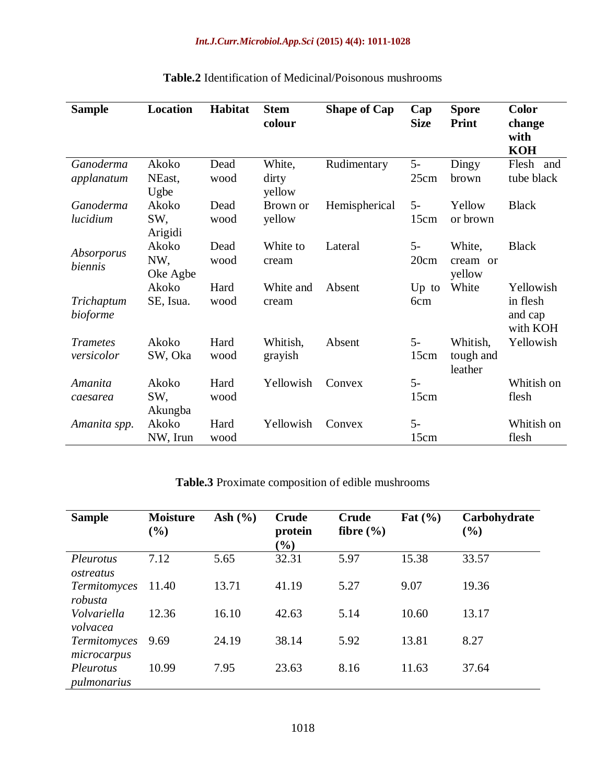| <b>Sample</b>                 | Location                 | Habitat      | <b>Stem</b><br>colour     | <b>Shape of Cap</b> | Cap<br><b>Size</b> | <b>Spore</b><br><b>Print</b>     | <b>Color</b><br>change<br>with<br><b>KOH</b> |
|-------------------------------|--------------------------|--------------|---------------------------|---------------------|--------------------|----------------------------------|----------------------------------------------|
| Ganoderma<br>applanatum       | Akoko<br>NEast,<br>Ugbe  | Dead<br>wood | White,<br>dirty<br>yellow | Rudimentary         | $5-$<br>25cm       | Dingy<br>brown                   | Flesh<br>and<br>tube black                   |
| Ganoderma<br>lucidium         | Akoko<br>SW,<br>Arigidi  | Dead<br>wood | Brown or<br>yellow        | Hemispherical       | $5-$<br>15cm       | Yellow<br>or brown               | <b>Black</b>                                 |
| Absorporus<br>biennis         | Akoko<br>NW,<br>Oke Agbe | Dead<br>wood | White to<br>cream         | Lateral             | $5-$<br>20cm       | White,<br>cream or<br>yellow     | <b>Black</b>                                 |
| Trichaptum<br>bioforme        | Akoko<br>SE, Isua.       | Hard<br>wood | White and<br>cream        | Absent              | Up to<br>6cm       | White                            | Yellowish<br>in flesh<br>and cap<br>with KOH |
| <b>Trametes</b><br>versicolor | Akoko<br>SW, Oka         | Hard<br>wood | Whitish,<br>grayish       | Absent              | $5-$<br>15cm       | Whitish,<br>tough and<br>leather | Yellowish                                    |
| Amanita<br>caesarea           | Akoko<br>SW,<br>Akungba  | Hard<br>wood | Yellowish                 | Convex              | $5-$<br>15cm       |                                  | Whitish on<br>flesh                          |
| Amanita spp.                  | Akoko<br>NW, Irun        | Hard<br>wood | Yellowish                 | Convex              | $5-$<br>15cm       |                                  | Whitish on<br>flesh                          |

## **Table.2** Identification of Medicinal/Poisonous mushrooms

**Table.3** Proximate composition of edible mushrooms

| <b>Sample</b>                      | <b>Moisture</b><br>$(\%)$ | Ash $(\% )$ | <b>Crude</b><br>protein<br>$\left( \frac{0}{0} \right)$ | <b>Crude</b><br>fibre $(\% )$ | Fat $(\% )$ | Carbohydrate<br>$(\%)$ |
|------------------------------------|---------------------------|-------------|---------------------------------------------------------|-------------------------------|-------------|------------------------|
| Pleurotus<br>ostreatus             | 7.12                      | 5.65        | 32.31                                                   | 5.97                          | 15.38       | 33.57                  |
| <i>Termitomyces</i><br>robusta     | 11.40                     | 13.71       | 41.19                                                   | 5.27                          | 9.07        | 19.36                  |
| Volvariella<br>volvacea            | 12.36                     | 16.10       | 42.63                                                   | 5.14                          | 10.60       | 13.17                  |
| <i>Termitomyces</i><br>microcarpus | 9.69                      | 24.19       | 38.14                                                   | 5.92                          | 13.81       | 8.27                   |
| Pleurotus<br>pulmonarius           | 10.99                     | 7.95        | 23.63                                                   | 8.16                          | 11.63       | 37.64                  |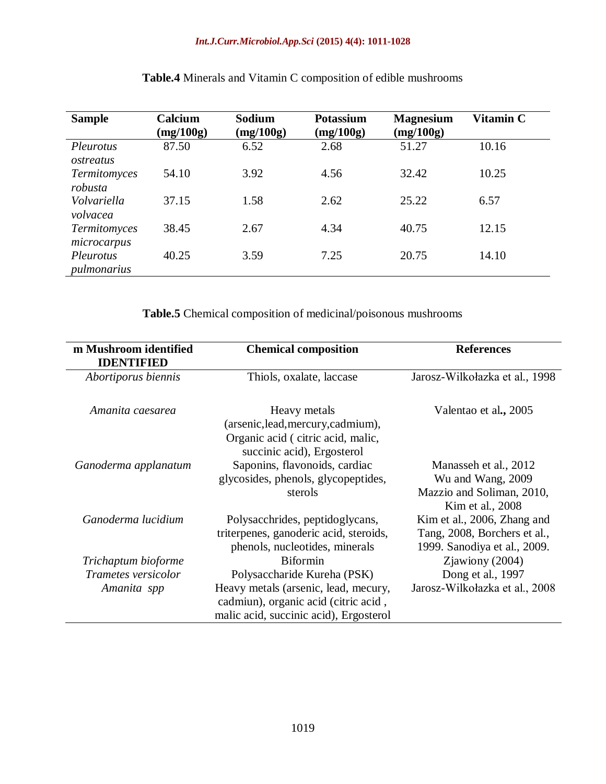| <b>Sample</b>               | Calcium<br>(mg/100g) | Sodium<br>(mg/100g) | <b>Potassium</b><br>(mg/100g) | <b>Magnesium</b><br>(mg/100g) | Vitamin C |
|-----------------------------|----------------------|---------------------|-------------------------------|-------------------------------|-----------|
| Pleurotus<br>ostreatus      | 87.50                | 6.52                | 2.68                          | 51.27                         | 10.16     |
| Termitomyces<br>robusta     | 54.10                | 3.92                | 4.56                          | 32.42                         | 10.25     |
| Volvariella<br>volvacea     | 37.15                | 1.58                | 2.62                          | 25.22                         | 6.57      |
| Termitomyces<br>microcarpus | 38.45                | 2.67                | 4.34                          | 40.75                         | 12.15     |
| Pleurotus<br>pulmonarius    | 40.25                | 3.59                | 7.25                          | 20.75                         | 14.10     |

# **Table.4** Minerals and Vitamin C composition of edible mushrooms

**Table.5** Chemical composition of medicinal/poisonous mushrooms

| m Mushroom identified<br><b>IDENTIFIED</b> | <b>Chemical composition</b>                                              | <b>References</b>                                            |
|--------------------------------------------|--------------------------------------------------------------------------|--------------------------------------------------------------|
| Abortiporus biennis                        | Thiols, oxalate, laccase                                                 | Jarosz-Wilkołazka et al., 1998                               |
| Amanita caesarea                           | Heavy metals<br>(arsenic, lead, mercury, cadmium),                       | Valentao et al., 2005                                        |
|                                            | Organic acid (citric acid, malic,<br>succinic acid), Ergosterol          |                                                              |
| Ganoderma applanatum                       | Saponins, flavonoids, cardiac<br>glycosides, phenols, glycopeptides,     | Manasseh et al., 2012<br>Wu and Wang, 2009                   |
|                                            | sterols                                                                  | Mazzio and Soliman, 2010,<br>Kim et al., 2008                |
| Ganoderma lucidium                         | Polysacchrides, peptidoglycans,                                          | Kim et al., 2006, Zhang and                                  |
|                                            | triterpenes, ganoderic acid, steroids,<br>phenols, nucleotides, minerals | Tang, 2008, Borchers et al.,<br>1999. Sanodiya et al., 2009. |
| Trichaptum bioforme                        | <b>Biformin</b>                                                          | Zjawiony (2004)                                              |
| Trametes versicolor                        | Polysaccharide Kureha (PSK)                                              | Dong et al., 1997                                            |
| Amanita spp                                | Heavy metals (arsenic, lead, mecury,                                     | Jarosz-Wilkołazka et al., 2008                               |
|                                            | cadmiun), organic acid (citric acid,                                     |                                                              |
|                                            | malic acid, succinic acid), Ergosterol                                   |                                                              |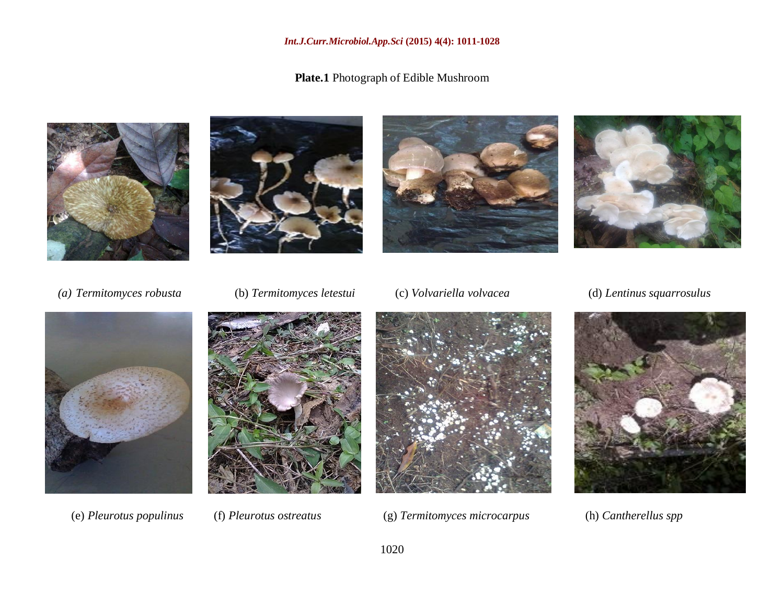# **Plate.1** Photograph of Edible Mushroom

















(e) *Pleurotus populinus* (f) *Pleurotus ostreatus* (g) *Termitomyces microcarpus* (h) *Cantherellus spp*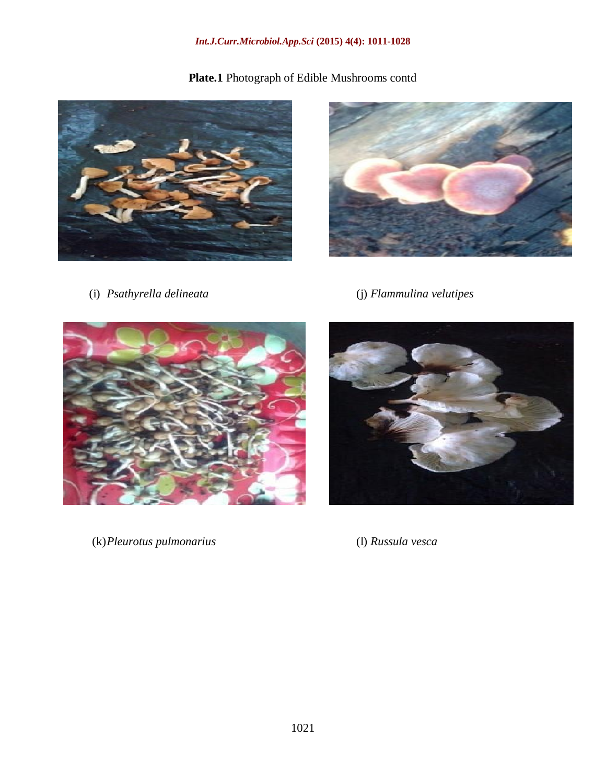# **Plate.1** Photograph of Edible Mushrooms contd









(k)*Pleurotus pulmonarius* (l) *Russula vesca*

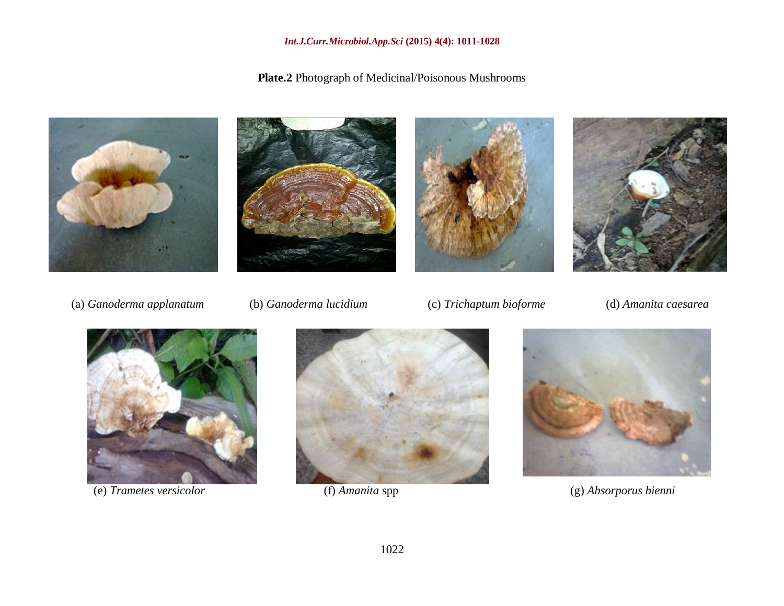**Plate.2** Photograph of Medicinal/Poisonous Mushrooms





(a) *Ganoderma applanatum* (b) *Ganoderma lucidium* (c) *Trichaptum bioforme* (d) *Amanita caesarea*







(e) *Trametes versicolor* (f) *Amanita* spp (g) *Absorporus bienni*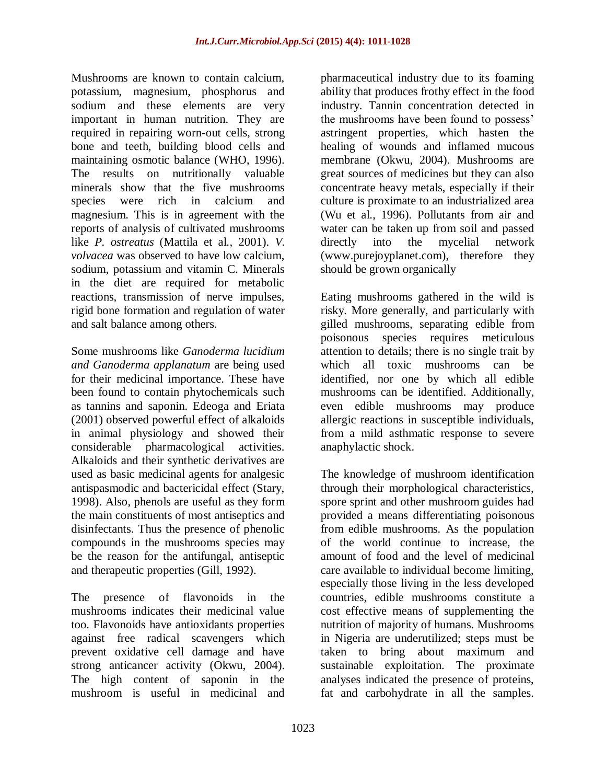Mushrooms are known to contain calcium, potassium, magnesium, phosphorus and sodium and these elements are very important in human nutrition. They are required in repairing worn-out cells, strong bone and teeth, building blood cells and maintaining osmotic balance (WHO, 1996). The results on nutritionally valuable minerals show that the five mushrooms species were rich in calcium and magnesium. This is in agreement with the reports of analysis of cultivated mushrooms like *P. ostreatus* (Mattila et al*.,* 2001). *V. volvacea* was observed to have low calcium, sodium, potassium and vitamin C. Minerals in the diet are required for metabolic reactions, transmission of nerve impulses, rigid bone formation and regulation of water and salt balance among others.

Some mushrooms like *Ganoderma lucidium and Ganoderma applanatum* are being used for their medicinal importance. These have been found to contain phytochemicals such as tannins and saponin. Edeoga and Eriata (2001) observed powerful effect of alkaloids in animal physiology and showed their considerable pharmacological activities. Alkaloids and their synthetic derivatives are used as basic medicinal agents for analgesic antispasmodic and bactericidal effect (Stary, 1998). Also, phenols are useful as they form the main constituents of most antiseptics and disinfectants. Thus the presence of phenolic compounds in the mushrooms species may be the reason for the antifungal, antiseptic and therapeutic properties (Gill, 1992).

The presence of flavonoids in the mushrooms indicates their medicinal value too. Flavonoids have antioxidants properties against free radical scavengers which prevent oxidative cell damage and have strong anticancer activity (Okwu, 2004). The high content of saponin in the mushroom is useful in medicinal and

pharmaceutical industry due to its foaming ability that produces frothy effect in the food industry. Tannin concentration detected in the mushrooms have been found to possess' astringent properties, which hasten the healing of wounds and inflamed mucous membrane (Okwu, 2004). Mushrooms are great sources of medicines but they can also concentrate heavy metals, especially if their culture is proximate to an industrialized area (Wu et al., 1996). Pollutants from air and water can be taken up from soil and passed directly into the mycelial network [\(www.purejoyplanet.com\)](http://www.purejoyplanet.com/), therefore they should be grown organically

Eating mushrooms gathered in the wild is risky. More generally, and particularly with gilled mushrooms, separating edible from poisonous species requires meticulous attention to details; there is no single trait by which all toxic mushrooms can be identified, nor one by which all edible mushrooms can be identified. Additionally, even edible mushrooms may produce [allergic](http://en.wikipedia.org/wiki/Allergy) reactions in susceptible individuals, from a mild [asthmatic](http://en.wikipedia.org/wiki/Asthma) response to severe [anaphylactic](http://en.wikipedia.org/wiki/Anaphylaxis) shock.

The knowledge of mushroom identification through their morphological characteristics, spore sprint and other mushroom guides had provided a means differentiating poisonous from edible mushrooms. As the population of the world continue to increase, the amount of food and the level of medicinal care available to individual become limiting, especially those living in the less developed countries, edible mushrooms constitute a cost effective means of supplementing the nutrition of majority of humans. Mushrooms in Nigeria are underutilized; steps must be taken to bring about maximum and sustainable exploitation. The proximate analyses indicated the presence of proteins, fat and carbohydrate in all the samples.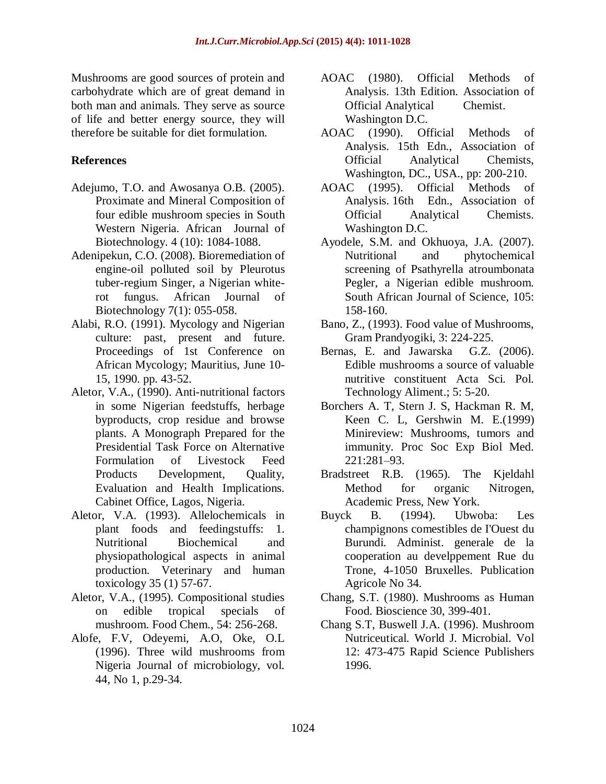Mushrooms are good sources of protein and carbohydrate which are of great demand in both man and animals. They serve as source of life and better energy source, they will therefore be suitable for diet formulation.

### **References**

- Adejumo, T.O. and Awosanya O.B. (2005). Proximate and Mineral Composition of four edible mushroom species in South Western Nigeria. African Journal of Biotechnology. 4 (10): 1084-1088.
- Adenipekun, C.O. (2008). Bioremediation of engine-oil polluted soil by Pleurotus tuber-regium Singer, a Nigerian whiterot fungus. African Journal of Biotechnology 7(1): 055-058.
- Alabi, R.O. (1991). Mycology and Nigerian culture: past, present and future. Proceedings of 1st Conference on African Mycology; Mauritius, June 10- 15, 1990. pp. 43-52.
- Aletor, V.A., (1990). Anti-nutritional factors in some Nigerian feedstuffs, herbage byproducts, crop residue and browse plants. A Monograph Prepared for the Presidential Task Force on Alternative Formulation of Livestock Feed Products Development, Quality, Evaluation and Health Implications. Cabinet Office, Lagos, Nigeria.
- Aletor, V.A. (1993). Allelochemicals in plant foods and feedingstuffs: 1. Nutritional Biochemical and physiopathological aspects in animal production. Veterinary and human toxicology 35 (1) 57-67.
- Aletor, V.A., (1995). Compositional studies on edible tropical specials of mushroom. Food Chem., 54: 256-268.
- Alofe, F.V, Odeyemi, A.O, Oke, O.L (1996). Three wild mushrooms from Nigeria Journal of microbiology, vol. 44, No 1, p.29-34.
- AOAC (1980). Official Methods of Analysis. 13th Edition. Association of Official Analytical Chemist. Washington D.C.
- AOAC (1990). Official Methods of Analysis. 15th Edn., Association of Official Analytical Chemists, Washington, DC., USA., pp: 200-210.
- AOAC (1995). Official Methods of Analysis. 16th Edn., Association of Official Analytical Chemists. Washington D.C.
- Ayodele, S.M. and Okhuoya, J.A. (2007). Nutritional and phytochemical screening of Psathyrella atroumbonata Pegler, a Nigerian edible mushroom. South African Journal of Science, 105: 158-160.
- Bano, Z., (1993). Food value of Mushrooms, Gram Prandyogiki, 3: 224-225.
- Bernas, E. and Jawarska G.Z. (2006). Edible mushrooms a source of valuable nutritive constituent Acta Sci. Pol. Technology Aliment.; 5: 5-20.
- Borchers A. T, Stern J. S, Hackman R. M, Keen C. L, Gershwin M. E.(1999) Minireview: Mushrooms, tumors and immunity. Proc Soc Exp Biol Med. 221:281–93.
- Bradstreet R.B. (1965). The Kjeldahl Method for organic Nitrogen, Academic Press, New York.
- Buyck B. (1994). Ubwoba: Les champignons comestibles de I'Ouest du Burundi. Administ. generale de la cooperation au develppement Rue du Trone, 4-1050 Bruxelles. Publication Agricole No 34.
- Chang, S.T. (1980). Mushrooms as Human Food. Bioscience 30, 399-401.
- Chang S.T, Buswell J.A. (1996). Mushroom Nutriceutical. World J. Microbial. Vol 12: 473-475 Rapid Science Publishers 1996.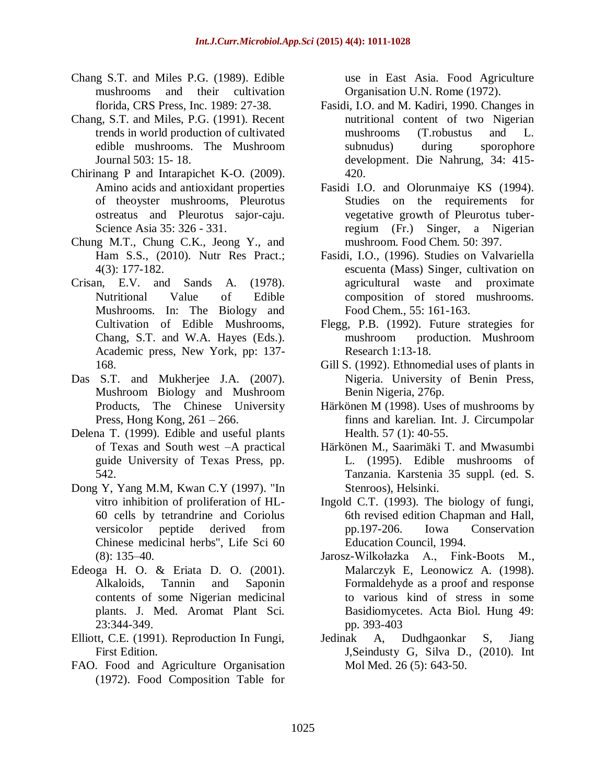- Chang S.T. and Miles P.G. (1989). Edible mushrooms and their cultivation florida, CRS Press, Inc. 1989: 27-38.
- Chang, S.T. and Miles, P.G. (1991). Recent trends in world production of cultivated edible mushrooms. The Mushroom Journal 503: 15- 18.
- Chirinang P and Intarapichet K-O. (2009). Amino acids and antioxidant properties of theoyster mushrooms, Pleurotus ostreatus and Pleurotus sajor-caju. Science Asia 35: 326 - 331.
- Chung M.T., Chung C.K., Jeong Y., and Ham S.S., (2010). Nutr Res Pract.; 4(3): 177-182.
- Crisan, E.V. and Sands A. (1978). Nutritional Value of Edible Mushrooms. In: The Biology and Cultivation of Edible Mushrooms, Chang, S.T. and W.A. Hayes (Eds.). Academic press, New York, pp: 137- 168.
- Das S.T. and Mukherjee J.A. (2007). Mushroom Biology and Mushroom Products, The Chinese University Press, Hong Kong,  $261 - 266$ .
- Delena T. (1999). Edible and useful plants of Texas and South west –A practical guide University of Texas Press, pp. 542.
- Dong Y, Yang M.M, Kwan C.Y (1997). "In vitro inhibition of proliferation of HL-60 cells by tetrandrine and Coriolus versicolor peptide derived from Chinese medicinal herbs", Life Sci 60 (8): 135–40.
- Edeoga H. O. & Eriata D. O. (2001). Alkaloids, Tannin and Saponin contents of some Nigerian medicinal plants. J. Med. Aromat Plant Sci. 23:344-349.
- Elliott, C.E. (1991). Reproduction In Fungi, First Edition.
- FAO. Food and Agriculture Organisation (1972). Food Composition Table for

use in East Asia. Food Agriculture Organisation U.N. Rome (1972).

- Fasidi, I.O. and M. Kadiri, 1990. Changes in nutritional content of two Nigerian mushrooms (T.robustus and L. subnudus) during sporophore development. Die Nahrung, 34: 415- 420.
- Fasidi I.O. and Olorunmaiye KS (1994). Studies on the requirements for vegetative growth of Pleurotus tuberregium (Fr.) Singer, a Nigerian mushroom. Food Chem. 50: 397.
- Fasidi, I.O., (1996). Studies on Valvariella escuenta (Mass) Singer, cultivation on agricultural waste and proximate composition of stored mushrooms. Food Chem., 55: 161-163.
- Flegg, P.B. (1992). Future strategies for mushroom production. Mushroom Research 1:13-18.
- Gill S. (1992). Ethnomedial uses of plants in Nigeria. University of Benin Press, Benin Nigeria, 276p.
- Härkönen M (1998). Uses of mushrooms by finns and karelian. Int. J. Circumpolar Health. 57 (1): 40-55.
- Härkönen M., Saarimäki T. and Mwasumbi L. (1995). Edible mushrooms of Tanzania. Karstenia 35 suppl. (ed. S. Stenroos), Helsinki.
- Ingold C.T. (1993). The biology of fungi, 6th revised edition Chapman and Hall, pp.197-206. Iowa Conservation Education Council, 1994.
- Jarosz-Wilkołazka A., Fink-Boots M., Malarczyk E, Leonowicz A. (1998). Formaldehyde as a proof and response to various kind of stress in some Basidiomycetes. Acta Biol. Hung 49: pp. 393-403
- Jedinak A, Dudhgaonkar S, Jiang J,Seindusty G, Silva D., (2010). Int Mol Med. 26 (5): 643-50.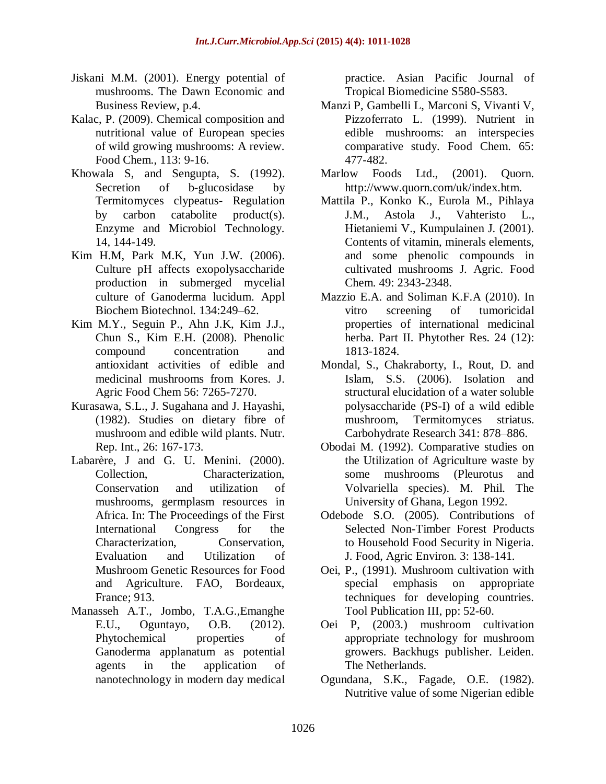- Jiskani M.M. (2001). Energy potential of mushrooms. The Dawn Economic and Business Review, p.4.
- Kalac, P. (2009). Chemical composition and nutritional value of European species of wild growing mushrooms: A review. Food Chem., 113: 9-16.
- Khowala S, and Sengupta, S. (1992). Secretion of b-glucosidase by Termitomyces clypeatus- Regulation by carbon catabolite product(s). Enzyme and Microbiol Technology. 14, 144-149.
- Kim H.M, Park M.K, Yun J.W. (2006). Culture pH affects exopolysaccharide production in submerged mycelial culture of Ganoderma lucidum. Appl Biochem Biotechnol. 134:249–62.
- Kim M.Y., Seguin P., Ahn J.K, Kim J.J., Chun S., Kim E.H. (2008). Phenolic compound concentration and antioxidant activities of edible and medicinal mushrooms from Kores. J. Agric Food Chem 56: 7265-7270.
- Kurasawa, S.L., J. Sugahana and J. Hayashi, (1982). Studies on dietary fibre of mushroom and edible wild plants. Nutr. Rep. Int., 26: 167-173.
- Labarère, J and G. U. Menini. (2000). Collection, Characterization, Conservation and utilization of mushrooms, germplasm resources in Africa. In: The Proceedings of the First International Congress for the Characterization, Conservation, Evaluation and Utilization of Mushroom Genetic Resources for Food and Agriculture. FAO, Bordeaux, France; 913.
- Manasseh A.T., Jombo, T.A.G.,Emanghe E.U., Oguntayo, O.B. (2012). Phytochemical properties of Ganoderma applanatum as potential agents in the application of nanotechnology in modern day medical

practice. Asian Pacific Journal of Tropical Biomedicine S580-S583.

- Manzi P, Gambelli L, Marconi S, Vivanti V, Pizzoferrato L. (1999). Nutrient in edible mushrooms: an interspecies comparative study. Food Chem. 65: 477-482.
- Marlow Foods Ltd., (2001). Quorn. http://www.quorn.com/uk/index.htm.
- Mattila P., Konko K., Eurola M., Pihlaya J.M., Astola J., Vahteristo L., Hietaniemi V., Kumpulainen J. (2001). Contents of vitamin, minerals elements, and some phenolic compounds in cultivated mushrooms J. Agric. Food Chem. 49: 2343-2348.
- Mazzio E.A. and Soliman K.F.A (2010). In vitro screening of tumoricidal properties of international medicinal herba. Part II. Phytother Res. 24 (12): 1813-1824.
- Mondal, S., Chakraborty, I., Rout, D. and Islam, S.S. (2006). Isolation and structural elucidation of a water soluble polysaccharide (PS-I) of a wild edible mushroom, Termitomyces striatus. Carbohydrate Research 341: 878–886.
- Obodai M. (1992). Comparative studies on the Utilization of Agriculture waste by some mushrooms (Pleurotus and Volvariella species). M. Phil. The University of Ghana, Legon 1992.
- Odebode S.O. (2005). Contributions of Selected Non-Timber Forest Products to Household Food Security in Nigeria. J. Food, Agric Environ. 3: 138-141.
- Oei, P., (1991). Mushroom cultivation with special emphasis on appropriate techniques for developing countries. Tool Publication III, pp: 52-60.
- Oei P, (2003.) mushroom cultivation appropriate technology for mushroom growers. Backhugs publisher. Leiden. The Netherlands.
- Ogundana, S.K., Fagade, O.E. (1982). Nutritive value of some Nigerian edible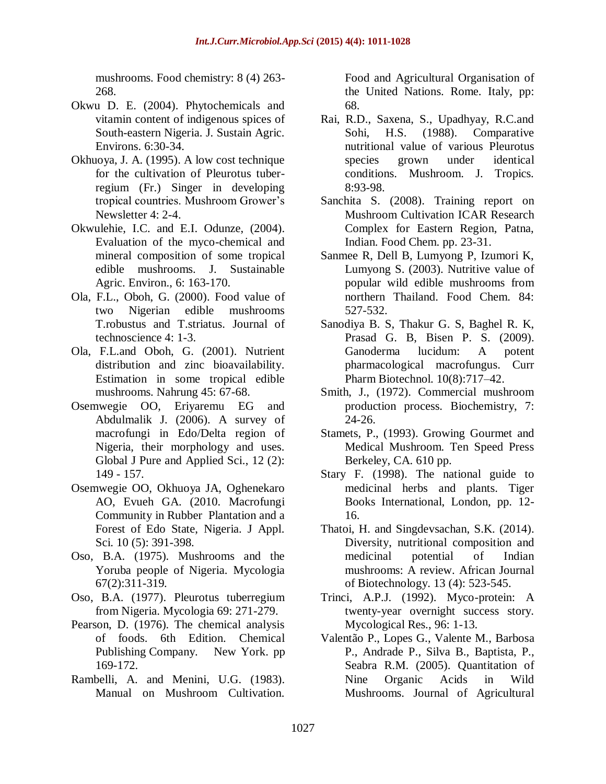mushrooms. Food chemistry: 8 (4) 263- 268.

- Okwu D. E. (2004). Phytochemicals and vitamin content of indigenous spices of South-eastern Nigeria. J. Sustain Agric. Environs. 6:30-34.
- Okhuoya, J. A. (1995). A low cost technique for the cultivation of Pleurotus tuberregium (Fr.) Singer in developing tropical countries. Mushroom Grower's Newsletter 4: 2-4.
- Okwulehie, I.C. and E.I. Odunze, (2004). Evaluation of the myco-chemical and mineral composition of some tropical edible mushrooms. J. Sustainable Agric. Environ., 6: 163-170.
- Ola, F.L., Oboh, G. (2000). Food value of two Nigerian edible mushrooms T.robustus and T.striatus. Journal of technoscience 4: 1-3.
- Ola, F.L.and Oboh, G. (2001). Nutrient distribution and zinc bioavailability. Estimation in some tropical edible mushrooms. Nahrung 45: 67-68.
- Osemwegie OO, Eriyaremu EG and Abdulmalik J. (2006). A survey of macrofungi in Edo/Delta region of Nigeria, their morphology and uses. Global J Pure and Applied Sci., 12 (2): 149 - 157.
- Osemwegie OO, Okhuoya JA, Oghenekaro AO, Evueh GA. (2010. Macrofungi Community in Rubber Plantation and a Forest of Edo State, Nigeria. J Appl. Sci. 10 (5): 391-398.
- Oso, B.A. (1975). Mushrooms and the Yoruba people of Nigeria. Mycologia 67(2):311-319.
- Oso, B.A. (1977). Pleurotus tuberregium from Nigeria. Mycologia 69: 271-279.
- Pearson, D. (1976). The chemical analysis of foods. 6th Edition. Chemical Publishing Company. New York. pp 169-172.
- Rambelli, A. and Menini, U.G. (1983). Manual on Mushroom Cultivation.

Food and Agricultural Organisation of the United Nations. Rome. Italy, pp: 68.

- Rai, R.D., Saxena, S., Upadhyay, R.C.and Sohi, H.S. (1988). Comparative nutritional value of various Pleurotus species grown under identical conditions. Mushroom. J. Tropics. 8:93-98.
- Sanchita S. (2008). Training report on Mushroom Cultivation ICAR Research Complex for Eastern Region, Patna, Indian. Food Chem. pp. 23-31.
- Sanmee R, Dell B, Lumyong P, Izumori K, Lumyong S. (2003). Nutritive value of popular wild edible mushrooms from northern Thailand. Food Chem. 84: 527-532.
- Sanodiya B. S, Thakur G. S, Baghel R. K, Prasad G. B, Bisen P. S. (2009). Ganoderma lucidum: A potent pharmacological macrofungus. Curr Pharm Biotechnol. 10(8):717–42.
- Smith, J., (1972). Commercial mushroom production process. Biochemistry, 7: 24-26.
- Stamets, P., (1993). Growing Gourmet and Medical Mushroom. Ten Speed Press Berkeley, CA. 610 pp.
- Stary F. (1998). The national guide to medicinal herbs and plants. Tiger Books International, London, pp. 12- 16.
- Thatoi, H. and Singdevsachan, S.K. (2014). Diversity, nutritional composition and medicinal potential of Indian mushrooms: A review. African Journal of Biotechnology. 13 (4): 523-545.
- Trinci, A.P.J. (1992). Myco-protein: A twenty-year overnight success story. Mycological Res., 96: 1-13.
- Valentão P., Lopes G., Valente M., Barbosa P., Andrade P., Silva B., Baptista, P., Seabra R.M. (2005). Quantitation of Nine Organic Acids in Wild Mushrooms. Journal of Agricultural